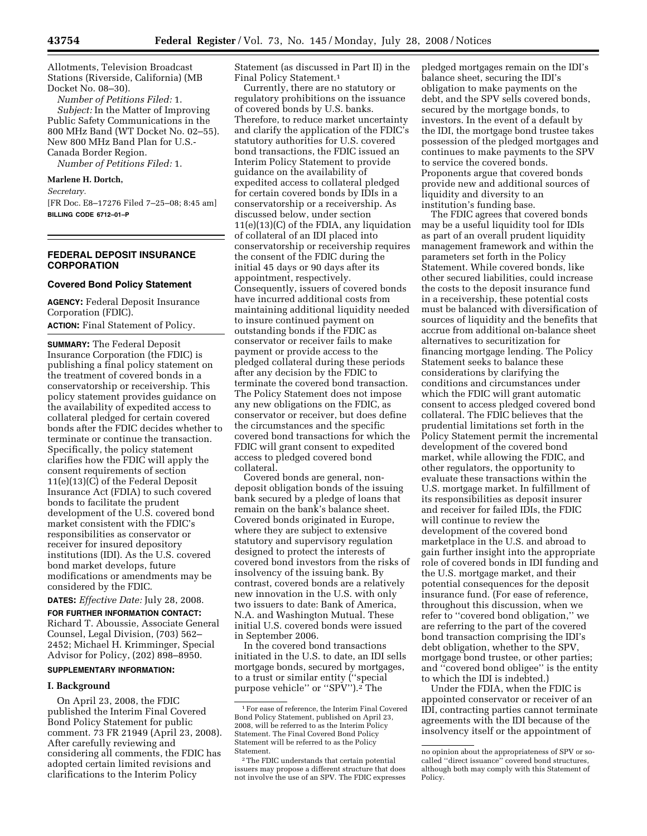Allotments, Television Broadcast Stations (Riverside, California) (MB Docket No. 08–30).

*Number of Petitions Filed:* 1. *Subject:* In the Matter of Improving Public Safety Communications in the 800 MHz Band (WT Docket No. 02–55). New 800 MHz Band Plan for U.S.- Canada Border Region.

*Number of Petitions Filed:* 1.

## **Marlene H. Dortch,**

*Secretary.* 

[FR Doc. E8–17276 Filed 7–25–08; 8:45 am] **BILLING CODE 6712–01–P** 

# **FEDERAL DEPOSIT INSURANCE CORPORATION**

# **Covered Bond Policy Statement**

**AGENCY:** Federal Deposit Insurance Corporation (FDIC).

**ACTION:** Final Statement of Policy.

**SUMMARY:** The Federal Deposit Insurance Corporation (the FDIC) is publishing a final policy statement on the treatment of covered bonds in a conservatorship or receivership. This policy statement provides guidance on the availability of expedited access to collateral pledged for certain covered bonds after the FDIC decides whether to terminate or continue the transaction. Specifically, the policy statement clarifies how the FDIC will apply the consent requirements of section 11(e)(13)(C) of the Federal Deposit Insurance Act (FDIA) to such covered bonds to facilitate the prudent development of the U.S. covered bond market consistent with the FDIC's responsibilities as conservator or receiver for insured depository institutions (IDI). As the U.S. covered bond market develops, future modifications or amendments may be considered by the FDIC.

**DATES:** *Effective Date:* July 28, 2008.

**FOR FURTHER INFORMATION CONTACT:**  Richard T. Aboussie, Associate General Counsel, Legal Division, (703) 562– 2452; Michael H. Krimminger, Special Advisor for Policy, (202) 898–8950.

## **SUPPLEMENTARY INFORMATION:**

## **I. Background**

On April 23, 2008, the FDIC published the Interim Final Covered Bond Policy Statement for public comment. 73 FR 21949 (April 23, 2008). After carefully reviewing and considering all comments, the FDIC has adopted certain limited revisions and clarifications to the Interim Policy

Statement (as discussed in Part II) in the Final Policy Statement.1

Currently, there are no statutory or regulatory prohibitions on the issuance of covered bonds by U.S. banks. Therefore, to reduce market uncertainty and clarify the application of the FDIC's statutory authorities for U.S. covered bond transactions, the FDIC issued an Interim Policy Statement to provide guidance on the availability of expedited access to collateral pledged for certain covered bonds by IDIs in a conservatorship or a receivership. As discussed below, under section 11(e)(13)(C) of the FDIA, any liquidation of collateral of an IDI placed into conservatorship or receivership requires the consent of the FDIC during the initial 45 days or 90 days after its appointment, respectively. Consequently, issuers of covered bonds have incurred additional costs from maintaining additional liquidity needed to insure continued payment on outstanding bonds if the FDIC as conservator or receiver fails to make payment or provide access to the pledged collateral during these periods after any decision by the FDIC to terminate the covered bond transaction. The Policy Statement does not impose any new obligations on the FDIC, as conservator or receiver, but does define the circumstances and the specific covered bond transactions for which the FDIC will grant consent to expedited access to pledged covered bond collateral.

Covered bonds are general, nondeposit obligation bonds of the issuing bank secured by a pledge of loans that remain on the bank's balance sheet. Covered bonds originated in Europe, where they are subject to extensive statutory and supervisory regulation designed to protect the interests of covered bond investors from the risks of insolvency of the issuing bank. By contrast, covered bonds are a relatively new innovation in the U.S. with only two issuers to date: Bank of America, N.A. and Washington Mutual. These initial U.S. covered bonds were issued in September 2006.

In the covered bond transactions initiated in the U.S. to date, an IDI sells mortgage bonds, secured by mortgages, to a trust or similar entity (''special purpose vehicle'' or ''SPV'').2 The

pledged mortgages remain on the IDI's balance sheet, securing the IDI's obligation to make payments on the debt, and the SPV sells covered bonds, secured by the mortgage bonds, to investors. In the event of a default by the IDI, the mortgage bond trustee takes possession of the pledged mortgages and continues to make payments to the SPV to service the covered bonds. Proponents argue that covered bonds provide new and additional sources of liquidity and diversity to an institution's funding base.

The FDIC agrees that covered bonds may be a useful liquidity tool for IDIs as part of an overall prudent liquidity management framework and within the parameters set forth in the Policy Statement. While covered bonds, like other secured liabilities, could increase the costs to the deposit insurance fund in a receivership, these potential costs must be balanced with diversification of sources of liquidity and the benefits that accrue from additional on-balance sheet alternatives to securitization for financing mortgage lending. The Policy Statement seeks to balance these considerations by clarifying the conditions and circumstances under which the FDIC will grant automatic consent to access pledged covered bond collateral. The FDIC believes that the prudential limitations set forth in the Policy Statement permit the incremental development of the covered bond market, while allowing the FDIC, and other regulators, the opportunity to evaluate these transactions within the U.S. mortgage market. In fulfillment of its responsibilities as deposit insurer and receiver for failed IDIs, the FDIC will continue to review the development of the covered bond marketplace in the U.S. and abroad to gain further insight into the appropriate role of covered bonds in IDI funding and the U.S. mortgage market, and their potential consequences for the deposit insurance fund. (For ease of reference, throughout this discussion, when we refer to ''covered bond obligation,'' we are referring to the part of the covered bond transaction comprising the IDI's debt obligation, whether to the SPV, mortgage bond trustee, or other parties; and ''covered bond obligee'' is the entity to which the IDI is indebted.)

Under the FDIA, when the FDIC is appointed conservator or receiver of an IDI, contracting parties cannot terminate agreements with the IDI because of the insolvency itself or the appointment of

<sup>1</sup>For ease of reference, the Interim Final Covered Bond Policy Statement, published on April 23, 2008, will be referred to as the Interim Policy Statement. The Final Covered Bond Policy Statement will be referred to as the Policy Statement.

<sup>2</sup>The FDIC understands that certain potential issuers may propose a different structure that does not involve the use of an SPV. The FDIC expresses

no opinion about the appropriateness of SPV or socalled ''direct issuance'' covered bond structures, although both may comply with this Statement of Policy.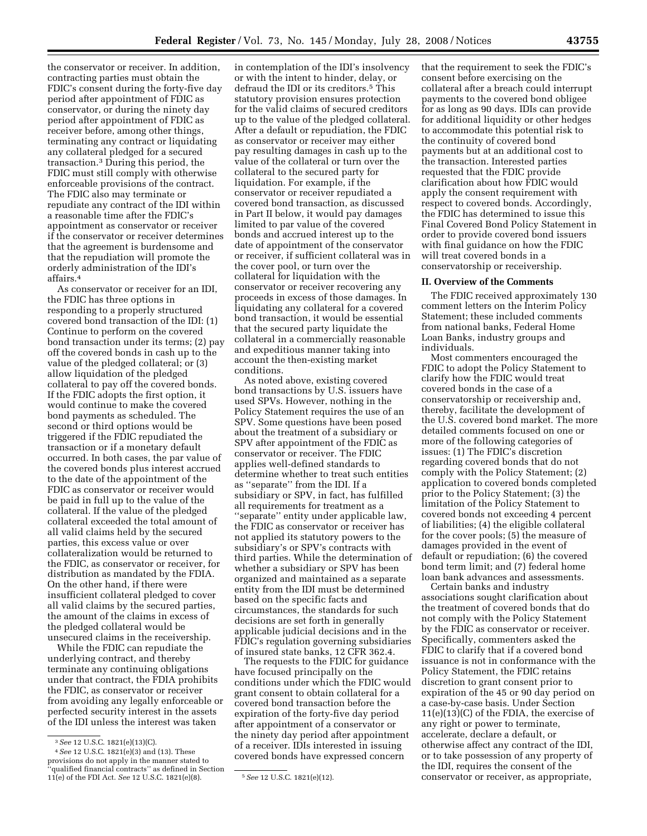the conservator or receiver. In addition, contracting parties must obtain the FDIC's consent during the forty-five day period after appointment of FDIC as conservator, or during the ninety day period after appointment of FDIC as receiver before, among other things, terminating any contract or liquidating any collateral pledged for a secured transaction.3 During this period, the FDIC must still comply with otherwise enforceable provisions of the contract. The FDIC also may terminate or repudiate any contract of the IDI within a reasonable time after the FDIC's appointment as conservator or receiver if the conservator or receiver determines that the agreement is burdensome and that the repudiation will promote the orderly administration of the IDI's affairs.4

As conservator or receiver for an IDI, the FDIC has three options in responding to a properly structured covered bond transaction of the IDI: (1) Continue to perform on the covered bond transaction under its terms; (2) pay off the covered bonds in cash up to the value of the pledged collateral; or (3) allow liquidation of the pledged collateral to pay off the covered bonds. If the FDIC adopts the first option, it would continue to make the covered bond payments as scheduled. The second or third options would be triggered if the FDIC repudiated the transaction or if a monetary default occurred. In both cases, the par value of the covered bonds plus interest accrued to the date of the appointment of the FDIC as conservator or receiver would be paid in full up to the value of the collateral. If the value of the pledged collateral exceeded the total amount of all valid claims held by the secured parties, this excess value or over collateralization would be returned to the FDIC, as conservator or receiver, for distribution as mandated by the FDIA. On the other hand, if there were insufficient collateral pledged to cover all valid claims by the secured parties, the amount of the claims in excess of the pledged collateral would be unsecured claims in the receivership.

While the FDIC can repudiate the underlying contract, and thereby terminate any continuing obligations under that contract, the FDIA prohibits the FDIC, as conservator or receiver from avoiding any legally enforceable or perfected security interest in the assets of the IDI unless the interest was taken

in contemplation of the IDI's insolvency or with the intent to hinder, delay, or defraud the IDI or its creditors.5 This statutory provision ensures protection for the valid claims of secured creditors up to the value of the pledged collateral. After a default or repudiation, the FDIC as conservator or receiver may either pay resulting damages in cash up to the value of the collateral or turn over the collateral to the secured party for liquidation. For example, if the conservator or receiver repudiated a covered bond transaction, as discussed in Part II below, it would pay damages limited to par value of the covered bonds and accrued interest up to the date of appointment of the conservator or receiver, if sufficient collateral was in the cover pool, or turn over the collateral for liquidation with the conservator or receiver recovering any proceeds in excess of those damages. In liquidating any collateral for a covered bond transaction, it would be essential that the secured party liquidate the collateral in a commercially reasonable and expeditious manner taking into account the then-existing market conditions.

As noted above, existing covered bond transactions by U.S. issuers have used SPVs. However, nothing in the Policy Statement requires the use of an SPV. Some questions have been posed about the treatment of a subsidiary or SPV after appointment of the FDIC as conservator or receiver. The FDIC applies well-defined standards to determine whether to treat such entities as ''separate'' from the IDI. If a subsidiary or SPV, in fact, has fulfilled all requirements for treatment as a ''separate'' entity under applicable law, the FDIC as conservator or receiver has not applied its statutory powers to the subsidiary's or SPV's contracts with third parties. While the determination of whether a subsidiary or SPV has been organized and maintained as a separate entity from the IDI must be determined based on the specific facts and circumstances, the standards for such decisions are set forth in generally applicable judicial decisions and in the FDIC's regulation governing subsidiaries of insured state banks, 12 CFR 362.4.

The requests to the FDIC for guidance have focused principally on the conditions under which the FDIC would grant consent to obtain collateral for a covered bond transaction before the expiration of the forty-five day period after appointment of a conservator or the ninety day period after appointment of a receiver. IDIs interested in issuing covered bonds have expressed concern

that the requirement to seek the FDIC's consent before exercising on the collateral after a breach could interrupt payments to the covered bond obligee for as long as 90 days. IDIs can provide for additional liquidity or other hedges to accommodate this potential risk to the continuity of covered bond payments but at an additional cost to the transaction. Interested parties requested that the FDIC provide clarification about how FDIC would apply the consent requirement with respect to covered bonds. Accordingly, the FDIC has determined to issue this Final Covered Bond Policy Statement in order to provide covered bond issuers with final guidance on how the FDIC will treat covered bonds in a conservatorship or receivership.

## **II. Overview of the Comments**

The FDIC received approximately 130 comment letters on the Interim Policy Statement; these included comments from national banks, Federal Home Loan Banks, industry groups and individuals.

Most commenters encouraged the FDIC to adopt the Policy Statement to clarify how the FDIC would treat covered bonds in the case of a conservatorship or receivership and, thereby, facilitate the development of the U.S. covered bond market. The more detailed comments focused on one or more of the following categories of issues: (1) The FDIC's discretion regarding covered bonds that do not comply with the Policy Statement; (2) application to covered bonds completed prior to the Policy Statement; (3) the limitation of the Policy Statement to covered bonds not exceeding 4 percent of liabilities; (4) the eligible collateral for the cover pools; (5) the measure of damages provided in the event of default or repudiation; (6) the covered bond term limit; and (7) federal home loan bank advances and assessments.

Certain banks and industry associations sought clarification about the treatment of covered bonds that do not comply with the Policy Statement by the FDIC as conservator or receiver. Specifically, commenters asked the FDIC to clarify that if a covered bond issuance is not in conformance with the Policy Statement, the FDIC retains discretion to grant consent prior to expiration of the 45 or 90 day period on a case-by-case basis. Under Section 11(e)(13)(C) of the FDIA, the exercise of any right or power to terminate, accelerate, declare a default, or otherwise affect any contract of the IDI, or to take possession of any property of the IDI, requires the consent of the conservator or receiver, as appropriate,

<sup>3</sup>*See* 12 U.S.C. 1821(e)(13)(C).

<sup>4</sup>*See* 12 U.S.C. 1821(e)(3) and (13). These provisions do not apply in the manner stated to 'qualified financial contracts'' as defined in Section 11(e) of the FDI Act. *See* 12 U.S.C. 1821(e)(8). 5*See* 12 U.S.C. 1821(e)(12).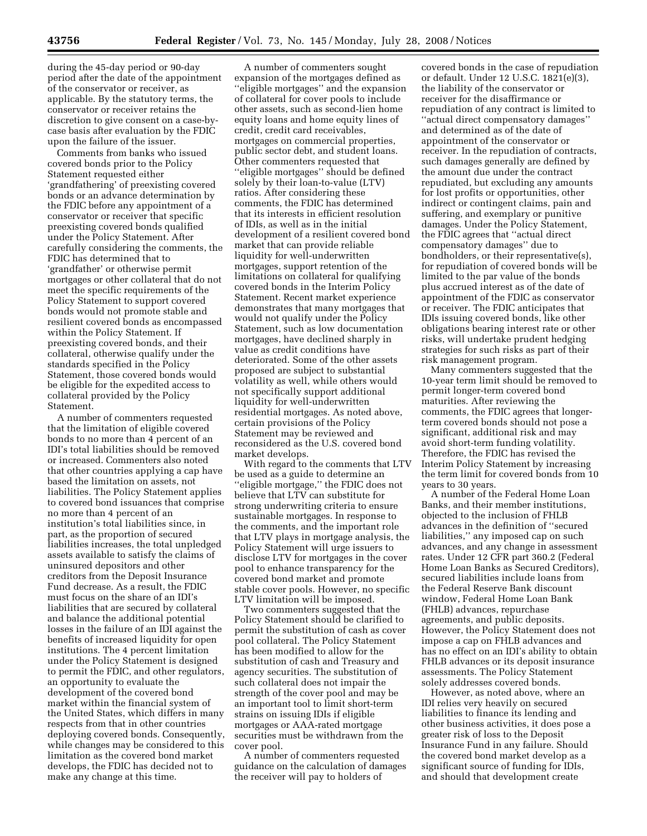during the 45-day period or 90-day period after the date of the appointment of the conservator or receiver, as applicable. By the statutory terms, the conservator or receiver retains the discretion to give consent on a case-bycase basis after evaluation by the FDIC upon the failure of the issuer.

Comments from banks who issued covered bonds prior to the Policy Statement requested either 'grandfathering' of preexisting covered bonds or an advance determination by the FDIC before any appointment of a conservator or receiver that specific preexisting covered bonds qualified under the Policy Statement. After carefully considering the comments, the FDIC has determined that to 'grandfather' or otherwise permit mortgages or other collateral that do not meet the specific requirements of the Policy Statement to support covered bonds would not promote stable and resilient covered bonds as encompassed within the Policy Statement. If preexisting covered bonds, and their collateral, otherwise qualify under the standards specified in the Policy Statement, those covered bonds would be eligible for the expedited access to collateral provided by the Policy Statement.

A number of commenters requested that the limitation of eligible covered bonds to no more than 4 percent of an IDI's total liabilities should be removed or increased. Commenters also noted that other countries applying a cap have based the limitation on assets, not liabilities. The Policy Statement applies to covered bond issuances that comprise no more than 4 percent of an institution's total liabilities since, in part, as the proportion of secured liabilities increases, the total unpledged assets available to satisfy the claims of uninsured depositors and other creditors from the Deposit Insurance Fund decrease. As a result, the FDIC must focus on the share of an IDI's liabilities that are secured by collateral and balance the additional potential losses in the failure of an IDI against the benefits of increased liquidity for open institutions. The 4 percent limitation under the Policy Statement is designed to permit the FDIC, and other regulators, an opportunity to evaluate the development of the covered bond market within the financial system of the United States, which differs in many respects from that in other countries deploying covered bonds. Consequently, while changes may be considered to this limitation as the covered bond market develops, the FDIC has decided not to make any change at this time.

A number of commenters sought expansion of the mortgages defined as ''eligible mortgages'' and the expansion of collateral for cover pools to include other assets, such as second-lien home equity loans and home equity lines of credit, credit card receivables, mortgages on commercial properties, public sector debt, and student loans. Other commenters requested that ''eligible mortgages'' should be defined solely by their loan-to-value (LTV) ratios. After considering these comments, the FDIC has determined that its interests in efficient resolution of IDIs, as well as in the initial development of a resilient covered bond market that can provide reliable liquidity for well-underwritten mortgages, support retention of the limitations on collateral for qualifying covered bonds in the Interim Policy Statement. Recent market experience demonstrates that many mortgages that would not qualify under the Policy Statement, such as low documentation mortgages, have declined sharply in value as credit conditions have deteriorated. Some of the other assets proposed are subject to substantial volatility as well, while others would not specifically support additional liquidity for well-underwritten residential mortgages. As noted above, certain provisions of the Policy Statement may be reviewed and reconsidered as the U.S. covered bond market develops.

With regard to the comments that LTV be used as a guide to determine an ''eligible mortgage,'' the FDIC does not believe that LTV can substitute for strong underwriting criteria to ensure sustainable mortgages. In response to the comments, and the important role that LTV plays in mortgage analysis, the Policy Statement will urge issuers to disclose LTV for mortgages in the cover pool to enhance transparency for the covered bond market and promote stable cover pools. However, no specific LTV limitation will be imposed.

Two commenters suggested that the Policy Statement should be clarified to permit the substitution of cash as cover pool collateral. The Policy Statement has been modified to allow for the substitution of cash and Treasury and agency securities. The substitution of such collateral does not impair the strength of the cover pool and may be an important tool to limit short-term strains on issuing IDIs if eligible mortgages or AAA-rated mortgage securities must be withdrawn from the cover pool.

A number of commenters requested guidance on the calculation of damages the receiver will pay to holders of

covered bonds in the case of repudiation or default. Under 12 U.S.C. 1821(e)(3), the liability of the conservator or receiver for the disaffirmance or repudiation of any contract is limited to ''actual direct compensatory damages'' and determined as of the date of appointment of the conservator or receiver. In the repudiation of contracts, such damages generally are defined by the amount due under the contract repudiated, but excluding any amounts for lost profits or opportunities, other indirect or contingent claims, pain and suffering, and exemplary or punitive damages. Under the Policy Statement, the FDIC agrees that ''actual direct compensatory damages'' due to bondholders, or their representative(s), for repudiation of covered bonds will be limited to the par value of the bonds plus accrued interest as of the date of appointment of the FDIC as conservator or receiver. The FDIC anticipates that IDIs issuing covered bonds, like other obligations bearing interest rate or other risks, will undertake prudent hedging strategies for such risks as part of their risk management program.

Many commenters suggested that the 10-year term limit should be removed to permit longer-term covered bond maturities. After reviewing the comments, the FDIC agrees that longerterm covered bonds should not pose a significant, additional risk and may avoid short-term funding volatility. Therefore, the FDIC has revised the Interim Policy Statement by increasing the term limit for covered bonds from 10 years to 30 years.

A number of the Federal Home Loan Banks, and their member institutions, objected to the inclusion of FHLB advances in the definition of ''secured liabilities,'' any imposed cap on such advances, and any change in assessment rates. Under 12 CFR part 360.2 (Federal Home Loan Banks as Secured Creditors), secured liabilities include loans from the Federal Reserve Bank discount window, Federal Home Loan Bank (FHLB) advances, repurchase agreements, and public deposits. However, the Policy Statement does not impose a cap on FHLB advances and has no effect on an IDI's ability to obtain FHLB advances or its deposit insurance assessments. The Policy Statement solely addresses covered bonds.

However, as noted above, where an IDI relies very heavily on secured liabilities to finance its lending and other business activities, it does pose a greater risk of loss to the Deposit Insurance Fund in any failure. Should the covered bond market develop as a significant source of funding for IDIs, and should that development create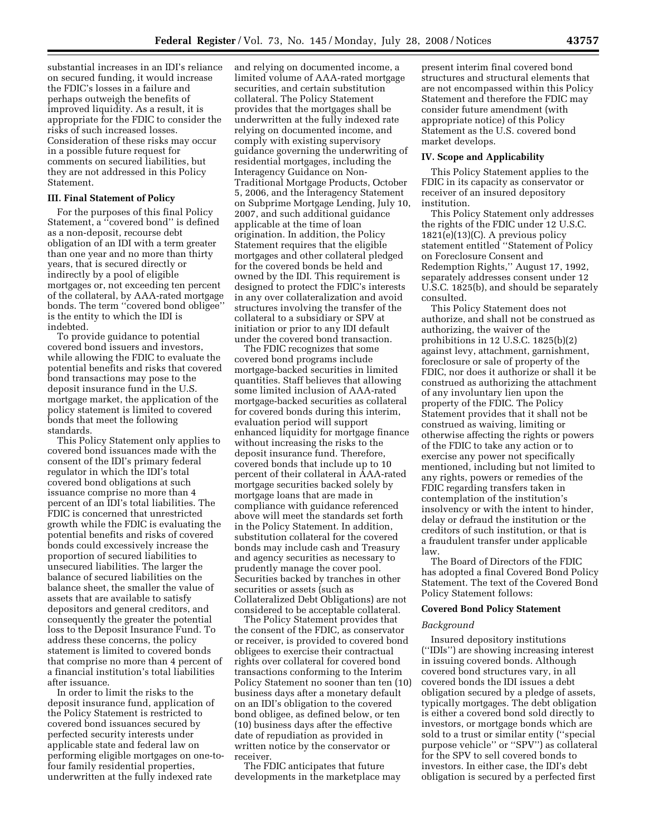substantial increases in an IDI's reliance on secured funding, it would increase the FDIC's losses in a failure and perhaps outweigh the benefits of improved liquidity. As a result, it is appropriate for the FDIC to consider the risks of such increased losses. Consideration of these risks may occur in a possible future request for comments on secured liabilities, but they are not addressed in this Policy Statement.

## **III. Final Statement of Policy**

For the purposes of this final Policy Statement, a ''covered bond'' is defined as a non-deposit, recourse debt obligation of an IDI with a term greater than one year and no more than thirty years, that is secured directly or indirectly by a pool of eligible mortgages or, not exceeding ten percent of the collateral, by AAA-rated mortgage bonds. The term ''covered bond obligee'' is the entity to which the IDI is indebted.

To provide guidance to potential covered bond issuers and investors, while allowing the FDIC to evaluate the potential benefits and risks that covered bond transactions may pose to the deposit insurance fund in the U.S. mortgage market, the application of the policy statement is limited to covered bonds that meet the following standards.

This Policy Statement only applies to covered bond issuances made with the consent of the IDI's primary federal regulator in which the IDI's total covered bond obligations at such issuance comprise no more than 4 percent of an IDI's total liabilities. The FDIC is concerned that unrestricted growth while the FDIC is evaluating the potential benefits and risks of covered bonds could excessively increase the proportion of secured liabilities to unsecured liabilities. The larger the balance of secured liabilities on the balance sheet, the smaller the value of assets that are available to satisfy depositors and general creditors, and consequently the greater the potential loss to the Deposit Insurance Fund. To address these concerns, the policy statement is limited to covered bonds that comprise no more than 4 percent of a financial institution's total liabilities after issuance.

In order to limit the risks to the deposit insurance fund, application of the Policy Statement is restricted to covered bond issuances secured by perfected security interests under applicable state and federal law on performing eligible mortgages on one-tofour family residential properties, underwritten at the fully indexed rate

and relying on documented income, a limited volume of AAA-rated mortgage securities, and certain substitution collateral. The Policy Statement provides that the mortgages shall be underwritten at the fully indexed rate relying on documented income, and comply with existing supervisory guidance governing the underwriting of residential mortgages, including the Interagency Guidance on Non-Traditional Mortgage Products, October 5, 2006, and the Interagency Statement on Subprime Mortgage Lending, July 10, 2007, and such additional guidance applicable at the time of loan origination. In addition, the Policy Statement requires that the eligible mortgages and other collateral pledged for the covered bonds be held and owned by the IDI. This requirement is designed to protect the FDIC's interests in any over collateralization and avoid structures involving the transfer of the collateral to a subsidiary or SPV at initiation or prior to any IDI default under the covered bond transaction.

The FDIC recognizes that some covered bond programs include mortgage-backed securities in limited quantities. Staff believes that allowing some limited inclusion of AAA-rated mortgage-backed securities as collateral for covered bonds during this interim, evaluation period will support enhanced liquidity for mortgage finance without increasing the risks to the deposit insurance fund. Therefore, covered bonds that include up to 10 percent of their collateral in AAA-rated mortgage securities backed solely by mortgage loans that are made in compliance with guidance referenced above will meet the standards set forth in the Policy Statement. In addition, substitution collateral for the covered bonds may include cash and Treasury and agency securities as necessary to prudently manage the cover pool. Securities backed by tranches in other securities or assets (such as Collateralized Debt Obligations) are not considered to be acceptable collateral.

The Policy Statement provides that the consent of the FDIC, as conservator or receiver, is provided to covered bond obligees to exercise their contractual rights over collateral for covered bond transactions conforming to the Interim Policy Statement no sooner than ten (10) business days after a monetary default on an IDI's obligation to the covered bond obligee, as defined below, or ten (10) business days after the effective date of repudiation as provided in written notice by the conservator or receiver.

The FDIC anticipates that future developments in the marketplace may

present interim final covered bond structures and structural elements that are not encompassed within this Policy Statement and therefore the FDIC may consider future amendment (with appropriate notice) of this Policy Statement as the U.S. covered bond market develops.

#### **IV. Scope and Applicability**

This Policy Statement applies to the FDIC in its capacity as conservator or receiver of an insured depository institution.

This Policy Statement only addresses the rights of the FDIC under 12 U.S.C. 1821(e)(13)(C). A previous policy statement entitled ''Statement of Policy on Foreclosure Consent and Redemption Rights,'' August 17, 1992, separately addresses consent under 12 U.S.C. 1825(b), and should be separately consulted.

This Policy Statement does not authorize, and shall not be construed as authorizing, the waiver of the prohibitions in 12 U.S.C. 1825(b)(2) against levy, attachment, garnishment, foreclosure or sale of property of the FDIC, nor does it authorize or shall it be construed as authorizing the attachment of any involuntary lien upon the property of the FDIC. The Policy Statement provides that it shall not be construed as waiving, limiting or otherwise affecting the rights or powers of the FDIC to take any action or to exercise any power not specifically mentioned, including but not limited to any rights, powers or remedies of the FDIC regarding transfers taken in contemplation of the institution's insolvency or with the intent to hinder, delay or defraud the institution or the creditors of such institution, or that is a fraudulent transfer under applicable law.

The Board of Directors of the FDIC has adopted a final Covered Bond Policy Statement. The text of the Covered Bond Policy Statement follows:

## **Covered Bond Policy Statement**

## *Background*

Insured depository institutions (''IDIs'') are showing increasing interest in issuing covered bonds. Although covered bond structures vary, in all covered bonds the IDI issues a debt obligation secured by a pledge of assets, typically mortgages. The debt obligation is either a covered bond sold directly to investors, or mortgage bonds which are sold to a trust or similar entity (''special purpose vehicle'' or ''SPV'') as collateral for the SPV to sell covered bonds to investors. In either case, the IDI's debt obligation is secured by a perfected first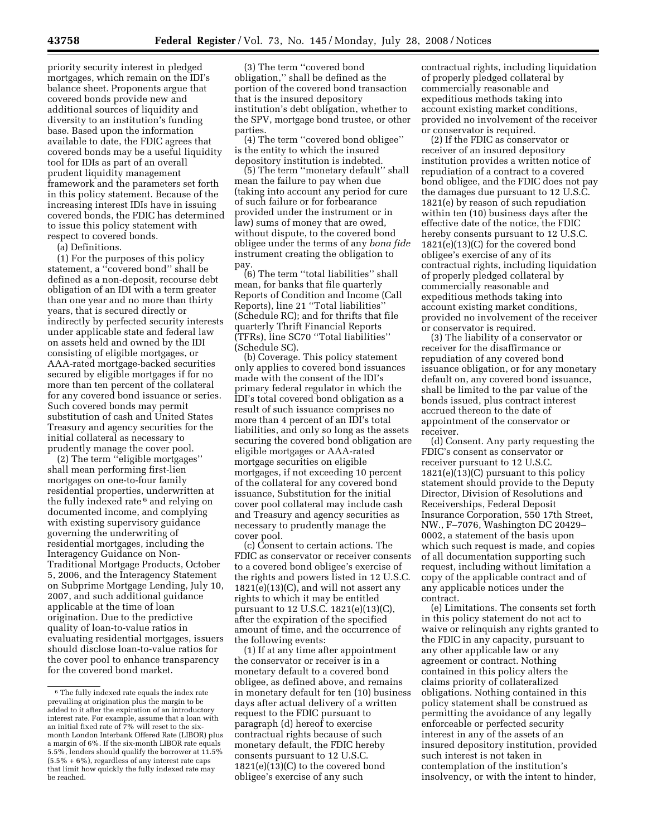priority security interest in pledged mortgages, which remain on the IDI's balance sheet. Proponents argue that covered bonds provide new and additional sources of liquidity and diversity to an institution's funding base. Based upon the information available to date, the FDIC agrees that covered bonds may be a useful liquidity tool for IDIs as part of an overall prudent liquidity management framework and the parameters set forth in this policy statement. Because of the increasing interest IDIs have in issuing covered bonds, the FDIC has determined to issue this policy statement with respect to covered bonds.

(a) Definitions.

(1) For the purposes of this policy statement, a ''covered bond'' shall be defined as a non-deposit, recourse debt obligation of an IDI with a term greater than one year and no more than thirty years, that is secured directly or indirectly by perfected security interests under applicable state and federal law on assets held and owned by the IDI consisting of eligible mortgages, or AAA-rated mortgage-backed securities secured by eligible mortgages if for no more than ten percent of the collateral for any covered bond issuance or series. Such covered bonds may permit substitution of cash and United States Treasury and agency securities for the initial collateral as necessary to prudently manage the cover pool.

(2) The term ''eligible mortgages'' shall mean performing first-lien mortgages on one-to-four family residential properties, underwritten at the fully indexed rate 6 and relying on documented income, and complying with existing supervisory guidance governing the underwriting of residential mortgages, including the Interagency Guidance on Non-Traditional Mortgage Products, October 5, 2006, and the Interagency Statement on Subprime Mortgage Lending, July 10, 2007, and such additional guidance applicable at the time of loan origination. Due to the predictive quality of loan-to-value ratios in evaluating residential mortgages, issuers should disclose loan-to-value ratios for the cover pool to enhance transparency for the covered bond market.

(3) The term ''covered bond obligation,'' shall be defined as the portion of the covered bond transaction that is the insured depository institution's debt obligation, whether to the SPV, mortgage bond trustee, or other parties.

(4) The term ''covered bond obligee'' is the entity to which the insured depository institution is indebted.

(5) The term ''monetary default'' shall mean the failure to pay when due (taking into account any period for cure of such failure or for forbearance provided under the instrument or in law) sums of money that are owed, without dispute, to the covered bond obligee under the terms of any *bona fide*  instrument creating the obligation to pay.

(6) The term ''total liabilities'' shall mean, for banks that file quarterly Reports of Condition and Income (Call Reports), line 21 ''Total liabilities'' (Schedule RC); and for thrifts that file quarterly Thrift Financial Reports (TFRs), line SC70 ''Total liabilities'' (Schedule SC).

(b) Coverage. This policy statement only applies to covered bond issuances made with the consent of the IDI's primary federal regulator in which the IDI's total covered bond obligation as a result of such issuance comprises no more than 4 percent of an IDI's total liabilities, and only so long as the assets securing the covered bond obligation are eligible mortgages or AAA-rated mortgage securities on eligible mortgages, if not exceeding 10 percent of the collateral for any covered bond issuance, Substitution for the initial cover pool collateral may include cash and Treasury and agency securities as necessary to prudently manage the cover pool.

(c) Consent to certain actions. The FDIC as conservator or receiver consents to a covered bond obligee's exercise of the rights and powers listed in 12 U.S.C.  $1821(e)(13)(C)$ , and will not assert any rights to which it may be entitled pursuant to 12 U.S.C. 1821(e)(13)(C), after the expiration of the specified amount of time, and the occurrence of the following events:

(1) If at any time after appointment the conservator or receiver is in a monetary default to a covered bond obligee, as defined above, and remains in monetary default for ten (10) business days after actual delivery of a written request to the FDIC pursuant to paragraph (d) hereof to exercise contractual rights because of such monetary default, the FDIC hereby consents pursuant to 12 U.S.C.  $1821(e)(13)(C)$  to the covered bond obligee's exercise of any such

contractual rights, including liquidation of properly pledged collateral by commercially reasonable and expeditious methods taking into account existing market conditions, provided no involvement of the receiver or conservator is required.

(2) If the FDIC as conservator or receiver of an insured depository institution provides a written notice of repudiation of a contract to a covered bond obligee, and the FDIC does not pay the damages due pursuant to 12 U.S.C. 1821(e) by reason of such repudiation within ten (10) business days after the effective date of the notice, the FDIC hereby consents pursuant to 12 U.S.C. 1821(e)(13)(C) for the covered bond obligee's exercise of any of its contractual rights, including liquidation of properly pledged collateral by commercially reasonable and expeditious methods taking into account existing market conditions, provided no involvement of the receiver or conservator is required.

(3) The liability of a conservator or receiver for the disaffirmance or repudiation of any covered bond issuance obligation, or for any monetary default on, any covered bond issuance, shall be limited to the par value of the bonds issued, plus contract interest accrued thereon to the date of appointment of the conservator or receiver.

(d) Consent. Any party requesting the FDIC's consent as conservator or receiver pursuant to 12 U.S.C.  $1821(e)(13)(C)$  pursuant to this policy statement should provide to the Deputy Director, Division of Resolutions and Receiverships, Federal Deposit Insurance Corporation, 550 17th Street, NW., F–7076, Washington DC 20429– 0002, a statement of the basis upon which such request is made, and copies of all documentation supporting such request, including without limitation a copy of the applicable contract and of any applicable notices under the contract.

(e) Limitations. The consents set forth in this policy statement do not act to waive or relinquish any rights granted to the FDIC in any capacity, pursuant to any other applicable law or any agreement or contract. Nothing contained in this policy alters the claims priority of collateralized obligations. Nothing contained in this policy statement shall be construed as permitting the avoidance of any legally enforceable or perfected security interest in any of the assets of an insured depository institution, provided such interest is not taken in contemplation of the institution's insolvency, or with the intent to hinder,

<sup>6</sup> The fully indexed rate equals the index rate prevailing at origination plus the margin to be added to it after the expiration of an introductory interest rate. For example, assume that a loan with an initial fixed rate of  $\bar{7}$ % will reset to the sixmonth London Interbank Offered Rate (LIBOR) plus a margin of 6%. If the six-month LIBOR rate equals 5.5%, lenders should qualify the borrower at 11.5%  $(5.5\% + 6\%)$ , regardless of any interest rate caps that limit how quickly the fully indexed rate may be reached.